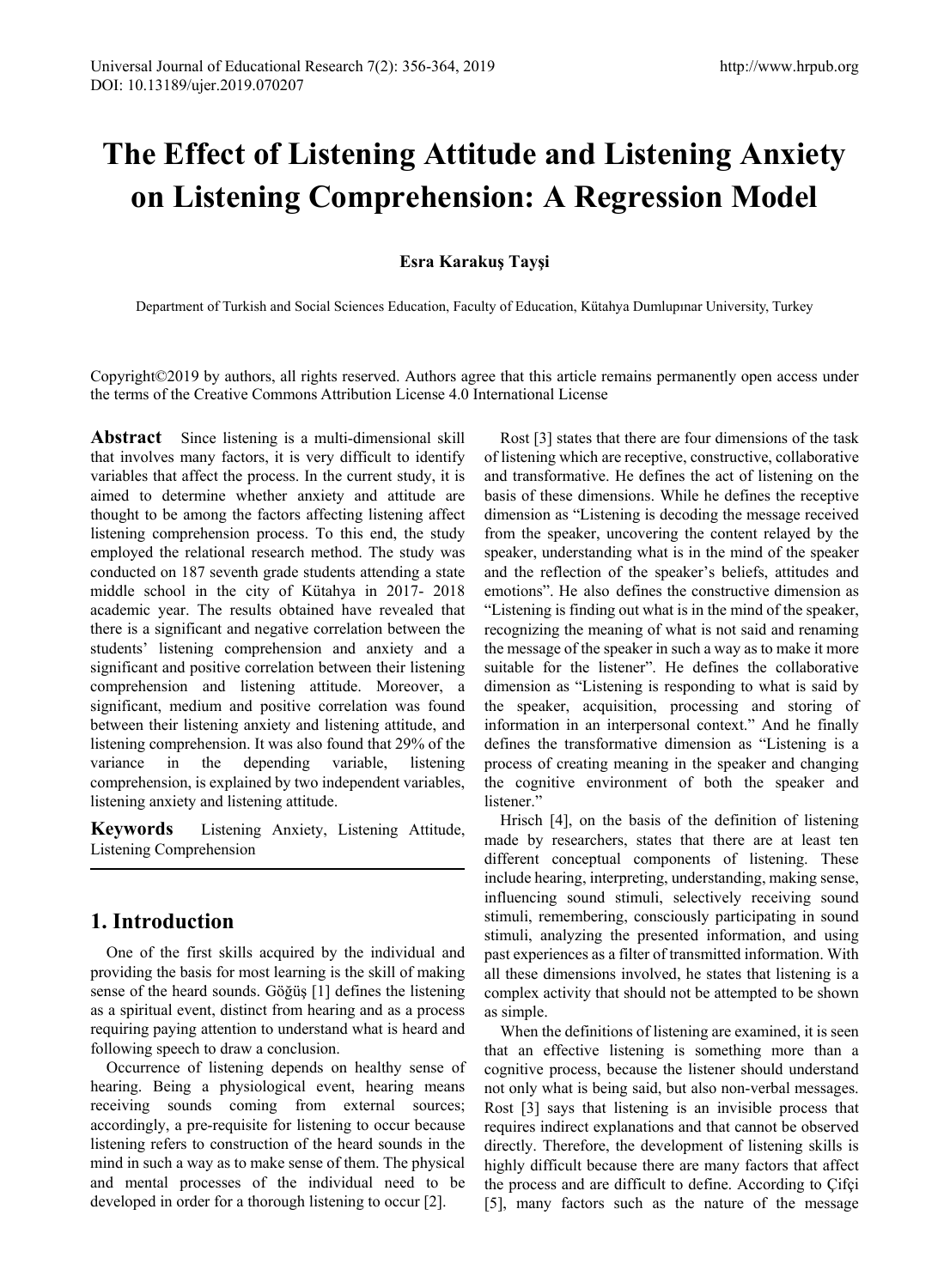# **The Effect of Listening Attitude and Listening Anxiety on Listening Comprehension: A Regression Model**

## **Esra Karakuş Tayşi**

Department of Turkish and Social Sciences Education, Faculty of Education, Kütahya Dumlupınar University, Turkey

Copyright©2019 by authors, all rights reserved. Authors agree that this article remains permanently open access under the terms of the Creative Commons Attribution License 4.0 International License

**Abstract** Since listening is a multi-dimensional skill that involves many factors, it is very difficult to identify variables that affect the process. In the current study, it is aimed to determine whether anxiety and attitude are thought to be among the factors affecting listening affect listening comprehension process. To this end, the study employed the relational research method. The study was conducted on 187 seventh grade students attending a state middle school in the city of Kütahya in 2017- 2018 academic year. The results obtained have revealed that there is a significant and negative correlation between the students' listening comprehension and anxiety and a significant and positive correlation between their listening comprehension and listening attitude. Moreover, a significant, medium and positive correlation was found between their listening anxiety and listening attitude, and listening comprehension. It was also found that 29% of the variance in the depending variable, listening comprehension, is explained by two independent variables, listening anxiety and listening attitude.

**Keywords** Listening Anxiety, Listening Attitude, Listening Comprehension

# **1. Introduction**

One of the first skills acquired by the individual and providing the basis for most learning is the skill of making sense of the heard sounds. Göğüş [1] defines the listening as a spiritual event, distinct from hearing and as a process requiring paying attention to understand what is heard and following speech to draw a conclusion.

Occurrence of listening depends on healthy sense of hearing. Being a physiological event, hearing means receiving sounds coming from external sources; accordingly, a pre-requisite for listening to occur because listening refers to construction of the heard sounds in the mind in such a way as to make sense of them. The physical and mental processes of the individual need to be developed in order for a thorough listening to occur [2].

Rost [3] states that there are four dimensions of the task of listening which are receptive, constructive, collaborative and transformative. He defines the act of listening on the basis of these dimensions. While he defines the receptive dimension as "Listening is decoding the message received from the speaker, uncovering the content relayed by the speaker, understanding what is in the mind of the speaker and the reflection of the speaker's beliefs, attitudes and emotions". He also defines the constructive dimension as "Listening is finding out what is in the mind of the speaker, recognizing the meaning of what is not said and renaming the message of the speaker in such a way as to make it more suitable for the listener". He defines the collaborative dimension as "Listening is responding to what is said by the speaker, acquisition, processing and storing of information in an interpersonal context." And he finally defines the transformative dimension as "Listening is a process of creating meaning in the speaker and changing the cognitive environment of both the speaker and listener."

Hrisch [4], on the basis of the definition of listening made by researchers, states that there are at least ten different conceptual components of listening. These include hearing, interpreting, understanding, making sense, influencing sound stimuli, selectively receiving sound stimuli, remembering, consciously participating in sound stimuli, analyzing the presented information, and using past experiences as a filter of transmitted information. With all these dimensions involved, he states that listening is a complex activity that should not be attempted to be shown as simple.

When the definitions of listening are examined, it is seen that an effective listening is something more than a cognitive process, because the listener should understand not only what is being said, but also non-verbal messages. Rost [3] says that listening is an invisible process that requires indirect explanations and that cannot be observed directly. Therefore, the development of listening skills is highly difficult because there are many factors that affect the process and are difficult to define. According to Çifçi [5], many factors such as the nature of the message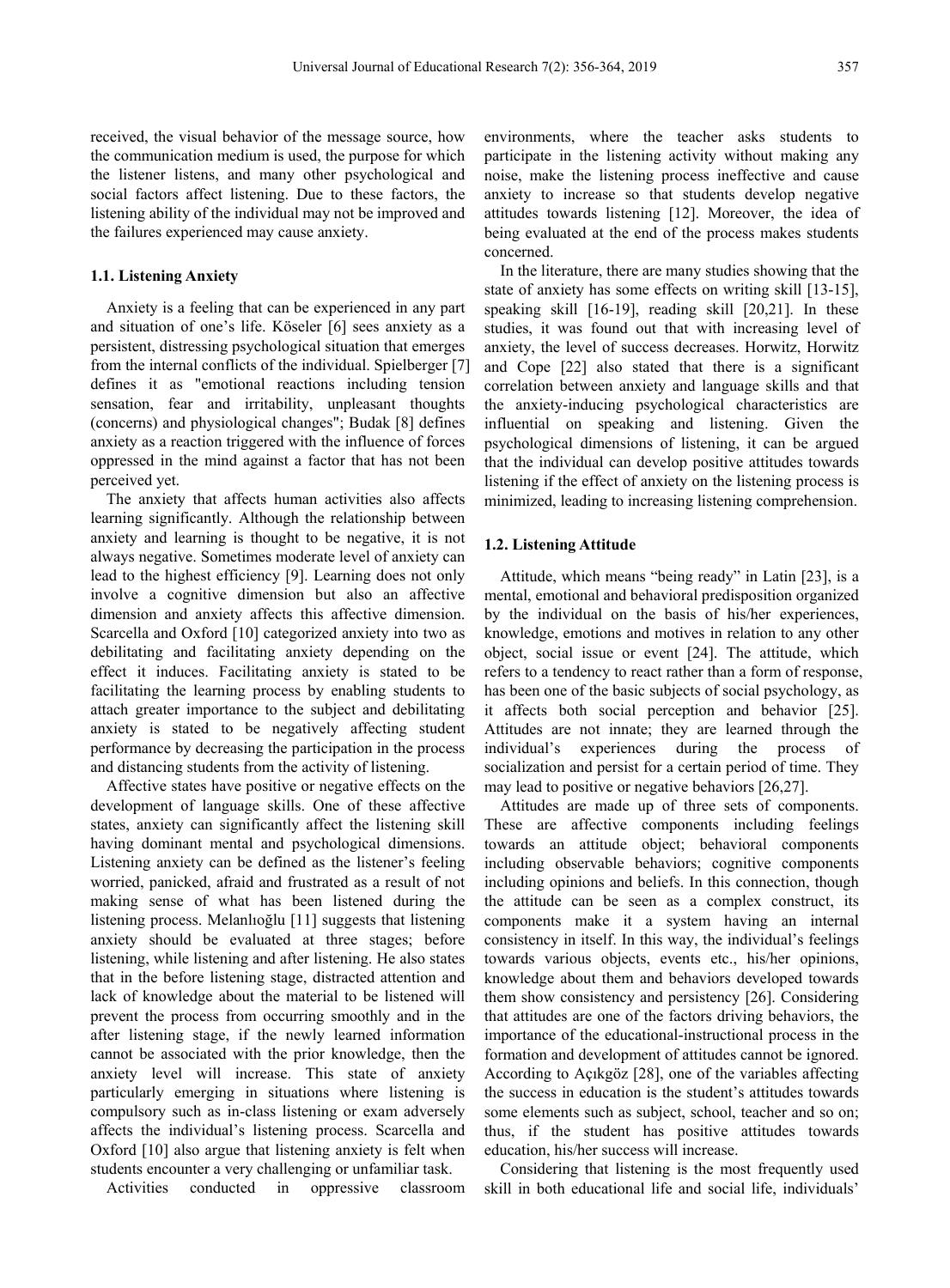received, the visual behavior of the message source, how the communication medium is used, the purpose for which the listener listens, and many other psychological and social factors affect listening. Due to these factors, the listening ability of the individual may not be improved and the failures experienced may cause anxiety.

#### **1.1. Listening Anxiety**

Anxiety is a feeling that can be experienced in any part and situation of one's life. Köseler [6] sees anxiety as a persistent, distressing psychological situation that emerges from the internal conflicts of the individual. Spielberger [7] defines it as "emotional reactions including tension sensation, fear and irritability, unpleasant thoughts (concerns) and physiological changes"; Budak [8] defines anxiety as a reaction triggered with the influence of forces oppressed in the mind against a factor that has not been perceived yet.

The anxiety that affects human activities also affects learning significantly. Although the relationship between anxiety and learning is thought to be negative, it is not always negative. Sometimes moderate level of anxiety can lead to the highest efficiency [9]. Learning does not only involve a cognitive dimension but also an affective dimension and anxiety affects this affective dimension. Scarcella and Oxford [10] categorized anxiety into two as debilitating and facilitating anxiety depending on the effect it induces. Facilitating anxiety is stated to be facilitating the learning process by enabling students to attach greater importance to the subject and debilitating anxiety is stated to be negatively affecting student performance by decreasing the participation in the process and distancing students from the activity of listening.

Affective states have positive or negative effects on the development of language skills. One of these affective states, anxiety can significantly affect the listening skill having dominant mental and psychological dimensions. Listening anxiety can be defined as the listener's feeling worried, panicked, afraid and frustrated as a result of not making sense of what has been listened during the listening process. Melanlıoğlu [11] suggests that listening anxiety should be evaluated at three stages; before listening, while listening and after listening. He also states that in the before listening stage, distracted attention and lack of knowledge about the material to be listened will prevent the process from occurring smoothly and in the after listening stage, if the newly learned information cannot be associated with the prior knowledge, then the anxiety level will increase. This state of anxiety particularly emerging in situations where listening is compulsory such as in-class listening or exam adversely affects the individual's listening process. Scarcella and Oxford [10] also argue that listening anxiety is felt when students encounter a very challenging or unfamiliar task.

Activities conducted in oppressive classroom

environments, where the teacher asks students to participate in the listening activity without making any noise, make the listening process ineffective and cause anxiety to increase so that students develop negative attitudes towards listening [12]. Moreover, the idea of being evaluated at the end of the process makes students concerned.

In the literature, there are many studies showing that the state of anxiety has some effects on writing skill [13-15], speaking skill [16-19], reading skill [20,21]. In these studies, it was found out that with increasing level of anxiety, the level of success decreases. Horwitz, Horwitz and Cope [22] also stated that there is a significant correlation between anxiety and language skills and that the anxiety-inducing psychological characteristics are influential on speaking and listening. Given the psychological dimensions of listening, it can be argued that the individual can develop positive attitudes towards listening if the effect of anxiety on the listening process is minimized, leading to increasing listening comprehension.

#### **1.2. Listening Attitude**

Attitude, which means "being ready" in Latin [23], is a mental, emotional and behavioral predisposition organized by the individual on the basis of his/her experiences, knowledge, emotions and motives in relation to any other object, social issue or event [24]. The attitude, which refers to a tendency to react rather than a form of response, has been one of the basic subjects of social psychology, as it affects both social perception and behavior [25]. Attitudes are not innate; they are learned through the individual's experiences during the process of socialization and persist for a certain period of time. They may lead to positive or negative behaviors [26,27].

Attitudes are made up of three sets of components. These are affective components including feelings towards an attitude object; behavioral components including observable behaviors; cognitive components including opinions and beliefs. In this connection, though the attitude can be seen as a complex construct, its components make it a system having an internal consistency in itself. In this way, the individual's feelings towards various objects, events etc., his/her opinions, knowledge about them and behaviors developed towards them show consistency and persistency [26]. Considering that attitudes are one of the factors driving behaviors, the importance of the educational-instructional process in the formation and development of attitudes cannot be ignored. According to Açıkgöz [28], one of the variables affecting the success in education is the student's attitudes towards some elements such as subject, school, teacher and so on; thus, if the student has positive attitudes towards education, his/her success will increase.

Considering that listening is the most frequently used skill in both educational life and social life, individuals'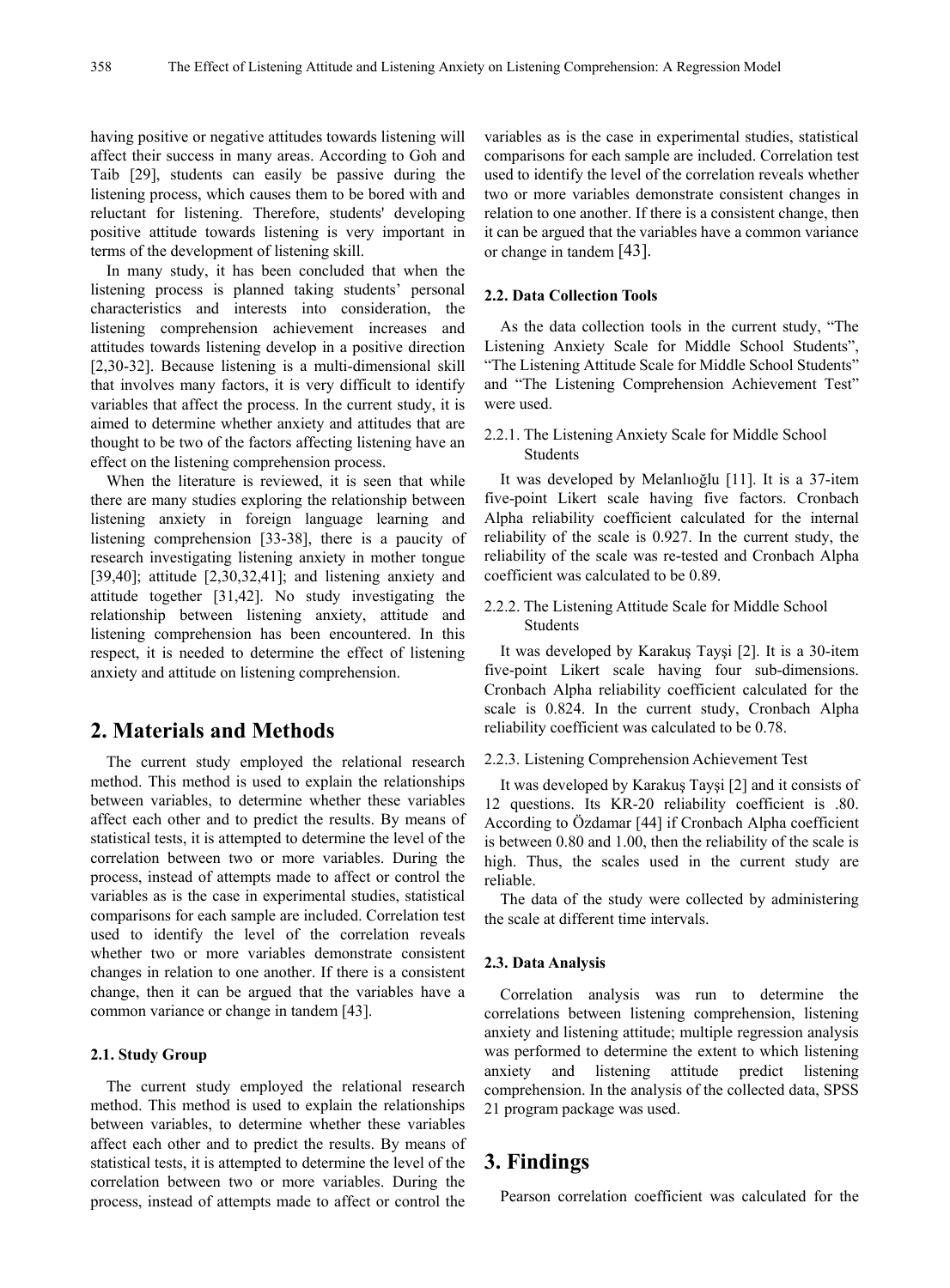having positive or negative attitudes towards listening will affect their success in many areas. According to Goh and Taib [29], students can easily be passive during the listening process, which causes them to be bored with and reluctant for listening. Therefore, students' developing positive attitude towards listening is very important in terms of the development of listening skill.

In many study, it has been concluded that when the listening process is planned taking students' personal characteristics and interests into consideration, the listening comprehension achievement increases and attitudes towards listening develop in a positive direction [2,30-32]. Because listening is a multi-dimensional skill that involves many factors, it is very difficult to identify variables that affect the process. In the current study, it is aimed to determine whether anxiety and attitudes that are thought to be two of the factors affecting listening have an effect on the listening comprehension process.

When the literature is reviewed, it is seen that while there are many studies exploring the relationship between listening anxiety in foreign language learning and listening comprehension [33-38], there is a paucity of research investigating listening anxiety in mother tongue [39,40]; attitude [2,30,32,41]; and listening anxiety and attitude together [31,42]. No study investigating the relationship between listening anxiety, attitude and listening comprehension has been encountered. In this respect, it is needed to determine the effect of listening anxiety and attitude on listening comprehension.

# **2. Materials and Methods**

The current study employed the relational research method. This method is used to explain the relationships between variables, to determine whether these variables affect each other and to predict the results. By means of statistical tests, it is attempted to determine the level of the correlation between two or more variables. During the process, instead of attempts made to affect or control the variables as is the case in experimental studies, statistical comparisons for each sample are included. Correlation test used to identify the level of the correlation reveals whether two or more variables demonstrate consistent changes in relation to one another. If there is a consistent change, then it can be argued that the variables have a common variance or change in tandem [43].

## **2.1. Study Group**

The current study employed the relational research method. This method is used to explain the relationships between variables, to determine whether these variables affect each other and to predict the results. By means of statistical tests, it is attempted to determine the level of the correlation between two or more variables. During the process, instead of attempts made to affect or control the

variables as is the case in experimental studies, statistical comparisons for each sample are included. Correlation test used to identify the level of the correlation reveals whether two or more variables demonstrate consistent changes in relation to one another. If there is a consistent change, then it can be argued that the variables have a common variance or change in tandem [43].

#### **2.2. Data Collection Tools**

As the data collection tools in the current study, "The Listening Anxiety Scale for Middle School Students", "The Listening Attitude Scale for Middle School Students" and "The Listening Comprehension Achievement Test" were used.

## 2.2.1. The Listening Anxiety Scale for Middle School Students

It was developed by Melanlıoğlu [11]. It is a 37-item five-point Likert scale having five factors. Cronbach Alpha reliability coefficient calculated for the internal reliability of the scale is 0.927. In the current study, the reliability of the scale was re-tested and Cronbach Alpha coefficient was calculated to be 0.89.

#### 2.2.2. The Listening Attitude Scale for Middle School Students

It was developed by Karakuş Tayşi [2]. It is a 30-item five-point Likert scale having four sub-dimensions. Cronbach Alpha reliability coefficient calculated for the scale is 0.824. In the current study, Cronbach Alpha reliability coefficient was calculated to be 0.78.

#### 2.2.3. Listening Comprehension Achievement Test

It was developed by Karakuş Tayşi [2] and it consists of 12 questions. Its KR-20 reliability coefficient is .80. According to Özdamar [44] if Cronbach Alpha coefficient is between 0.80 and 1.00, then the reliability of the scale is high. Thus, the scales used in the current study are reliable.

The data of the study were collected by administering the scale at different time intervals.

## **2.3. Data Analysis**

Correlation analysis was run to determine the correlations between listening comprehension, listening anxiety and listening attitude; multiple regression analysis was performed to determine the extent to which listening anxiety and listening attitude predict listening comprehension. In the analysis of the collected data, SPSS 21 program package was used.

# **3. Findings**

Pearson correlation coefficient was calculated for the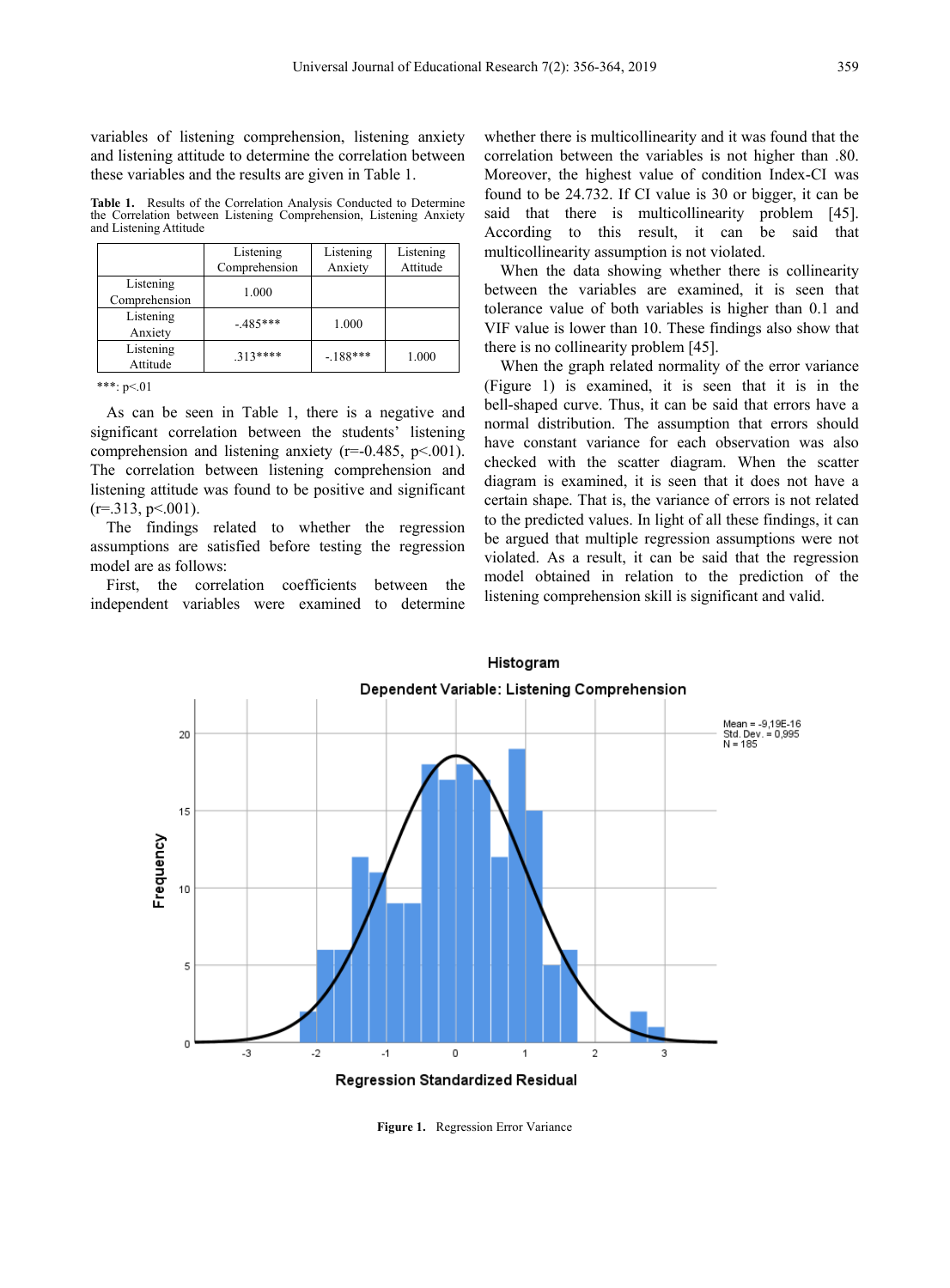variables of listening comprehension, listening anxiety and listening attitude to determine the correlation between these variables and the results are given in Table 1.

**Table 1.** Results of the Correlation Analysis Conducted to Determine the Correlation between Listening Comprehension, Listening Anxiety and Listening Attitude

|                            | Listening<br>Comprehension | Listening<br>Anxiety | Listening<br>Attitude |
|----------------------------|----------------------------|----------------------|-----------------------|
| Listening<br>Comprehension | 1.000                      |                      |                       |
| Listening<br>Anxiety       | $-485***$                  | 1.000                |                       |
| Listening<br>Attitude      | $313***$                   | $-188***$            | 1.000                 |

\*\*\*:  $p<01$ 

As can be seen in Table 1, there is a negative and significant correlation between the students' listening comprehension and listening anxiety ( $r=0.485$ ,  $p<001$ ). The correlation between listening comprehension and listening attitude was found to be positive and significant  $(r=.313, p \le 0.001)$ .

The findings related to whether the regression assumptions are satisfied before testing the regression model are as follows:

First, the correlation coefficients between the independent variables were examined to determine whether there is multicollinearity and it was found that the correlation between the variables is not higher than .80. Moreover, the highest value of condition Index-CI was found to be 24.732. If CI value is 30 or bigger, it can be said that there is multicollinearity problem [45]. According to this result, it can be said that multicollinearity assumption is not violated.

When the data showing whether there is collinearity between the variables are examined, it is seen that tolerance value of both variables is higher than 0.1 and VIF value is lower than 10. These findings also show that there is no collinearity problem [45].

When the graph related normality of the error variance (Figure 1) is examined, it is seen that it is in the bell-shaped curve. Thus, it can be said that errors have a normal distribution. The assumption that errors should have constant variance for each observation was also checked with the scatter diagram. When the scatter diagram is examined, it is seen that it does not have a certain shape. That is, the variance of errors is not related to the predicted values. In light of all these findings, it can be argued that multiple regression assumptions were not violated. As a result, it can be said that the regression model obtained in relation to the prediction of the listening comprehension skill is significant and valid.



**Figure 1.** Regression Error Variance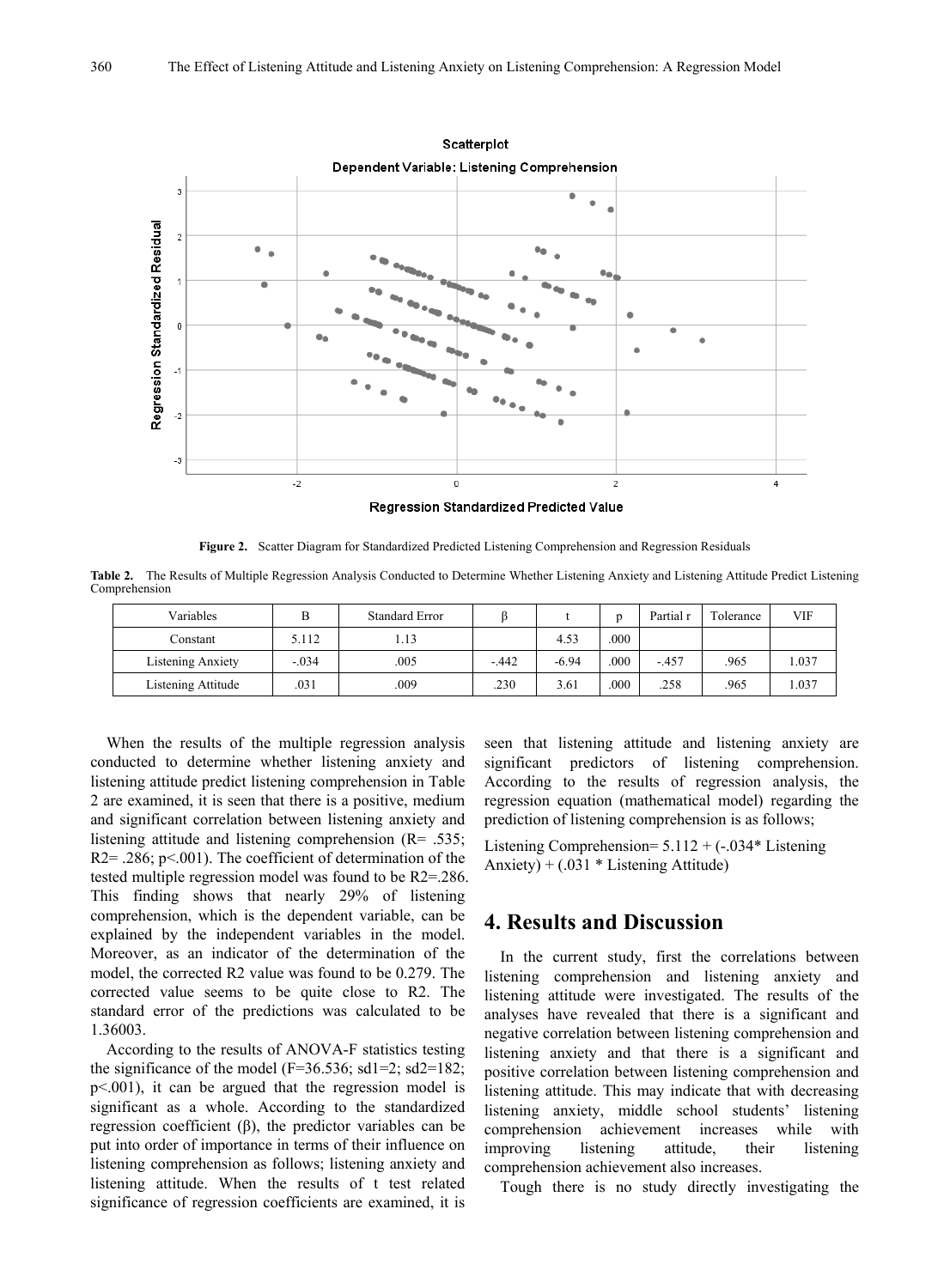

**Figure 2.** Scatter Diagram for Standardized Predicted Listening Comprehension and Regression Residuals

**Table 2.** The Results of Multiple Regression Analysis Conducted to Determine Whether Listening Anxiety and Listening Attitude Predict Listening Comprehension

| Variables          | B       | <b>Standard Error</b> |        |         | n    | Partial r | Tolerance | VIF   |
|--------------------|---------|-----------------------|--------|---------|------|-----------|-----------|-------|
| Constant           | 5.112   | 1.13                  |        | 4.53    | .000 |           |           |       |
| Listening Anxiety  | $-.034$ | 005                   | $-442$ | $-6.94$ | 000  | $-457$    | .965      | .037  |
| Listening Attitude | 031     | .009                  | .230   | 3.61    | .000 | .258      | .965      | 1.037 |

When the results of the multiple regression analysis conducted to determine whether listening anxiety and listening attitude predict listening comprehension in Table 2 are examined, it is seen that there is a positive, medium and significant correlation between listening anxiety and listening attitude and listening comprehension (R= .535;  $R2 = .286$ ;  $p < .001$ ). The coefficient of determination of the tested multiple regression model was found to be R2=.286. This finding shows that nearly 29% of listening comprehension, which is the dependent variable, can be explained by the independent variables in the model. Moreover, as an indicator of the determination of the model, the corrected R2 value was found to be 0.279. The corrected value seems to be quite close to R2. The standard error of the predictions was calculated to be 1.36003.

According to the results of ANOVA-F statistics testing the significance of the model (F=36.536; sd1=2; sd2=182; p<.001), it can be argued that the regression model is significant as a whole. According to the standardized regression coefficient (β), the predictor variables can be put into order of importance in terms of their influence on listening comprehension as follows; listening anxiety and listening attitude. When the results of t test related significance of regression coefficients are examined, it is

seen that listening attitude and listening anxiety are significant predictors of listening comprehension. According to the results of regression analysis, the regression equation (mathematical model) regarding the prediction of listening comprehension is as follows;

Listening Comprehension=  $5.112 + (-0.034)$ \* Listening Anxiety) + (.031 \* Listening Attitude)

## **4. Results and Discussion**

In the current study, first the correlations between listening comprehension and listening anxiety and listening attitude were investigated. The results of the analyses have revealed that there is a significant and negative correlation between listening comprehension and listening anxiety and that there is a significant and positive correlation between listening comprehension and listening attitude. This may indicate that with decreasing listening anxiety, middle school students' listening comprehension achievement increases while with improving listening attitude, their listening comprehension achievement also increases.

Tough there is no study directly investigating the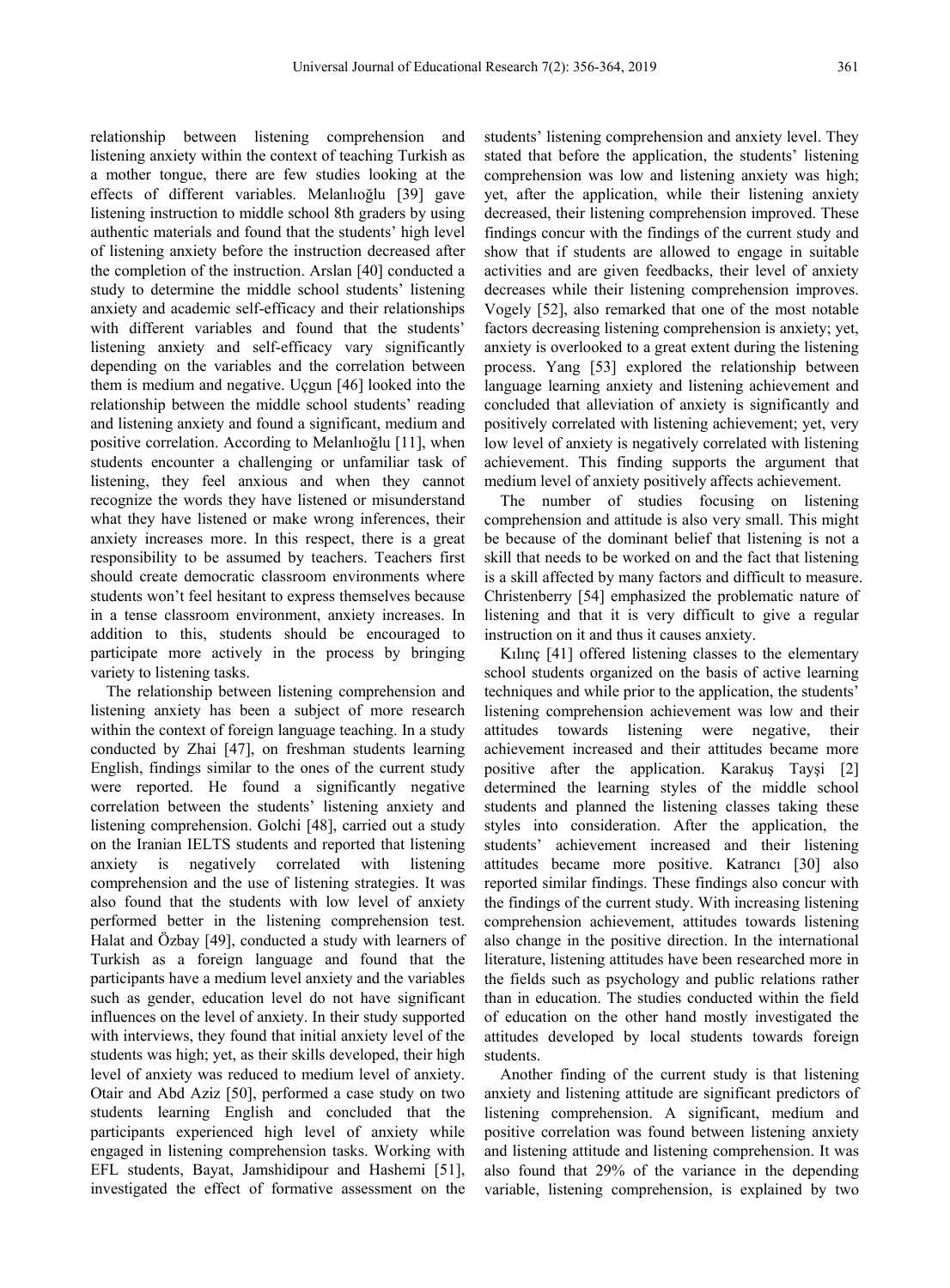relationship between listening comprehension and listening anxiety within the context of teaching Turkish as a mother tongue, there are few studies looking at the effects of different variables. Melanlıoğlu [39] gave listening instruction to middle school 8th graders by using authentic materials and found that the students' high level of listening anxiety before the instruction decreased after the completion of the instruction. Arslan [40] conducted a study to determine the middle school students' listening anxiety and academic self-efficacy and their relationships with different variables and found that the students' listening anxiety and self-efficacy vary significantly depending on the variables and the correlation between them is medium and negative. Uçgun [46] looked into the relationship between the middle school students' reading and listening anxiety and found a significant, medium and positive correlation. According to Melanlıoğlu [11], when students encounter a challenging or unfamiliar task of listening, they feel anxious and when they cannot recognize the words they have listened or misunderstand what they have listened or make wrong inferences, their anxiety increases more. In this respect, there is a great responsibility to be assumed by teachers. Teachers first should create democratic classroom environments where students won't feel hesitant to express themselves because in a tense classroom environment, anxiety increases. In addition to this, students should be encouraged to participate more actively in the process by bringing variety to listening tasks.

The relationship between listening comprehension and listening anxiety has been a subject of more research within the context of foreign language teaching. In a study conducted by Zhai [47], on freshman students learning English, findings similar to the ones of the current study were reported. He found a significantly negative correlation between the students' listening anxiety and listening comprehension. Golchi [48], carried out a study on the Iranian IELTS students and reported that listening anxiety is negatively correlated with listening comprehension and the use of listening strategies. It was also found that the students with low level of anxiety performed better in the listening comprehension test. Halat and Özbay [49], conducted a study with learners of Turkish as a foreign language and found that the participants have a medium level anxiety and the variables such as gender, education level do not have significant influences on the level of anxiety. In their study supported with interviews, they found that initial anxiety level of the students was high; yet, as their skills developed, their high level of anxiety was reduced to medium level of anxiety. Otair and Abd Aziz [50], performed a case study on two students learning English and concluded that the participants experienced high level of anxiety while engaged in listening comprehension tasks. Working with EFL students, Bayat, Jamshidipour and Hashemi [51], investigated the effect of formative assessment on the

students' listening comprehension and anxiety level. They stated that before the application, the students' listening comprehension was low and listening anxiety was high; yet, after the application, while their listening anxiety decreased, their listening comprehension improved. These findings concur with the findings of the current study and show that if students are allowed to engage in suitable activities and are given feedbacks, their level of anxiety decreases while their listening comprehension improves. Vogely [52], also remarked that one of the most notable factors decreasing listening comprehension is anxiety; yet, anxiety is overlooked to a great extent during the listening process. Yang [53] explored the relationship between language learning anxiety and listening achievement and concluded that alleviation of anxiety is significantly and positively correlated with listening achievement; yet, very low level of anxiety is negatively correlated with listening achievement. This finding supports the argument that medium level of anxiety positively affects achievement.

The number of studies focusing on listening comprehension and attitude is also very small. This might be because of the dominant belief that listening is not a skill that needs to be worked on and the fact that listening is a skill affected by many factors and difficult to measure. Christenberry [54] emphasized the problematic nature of listening and that it is very difficult to give a regular instruction on it and thus it causes anxiety.

Kılınç [41] offered listening classes to the elementary school students organized on the basis of active learning techniques and while prior to the application, the students' listening comprehension achievement was low and their attitudes towards listening were negative, their achievement increased and their attitudes became more positive after the application. Karakuş Tayşi [2] determined the learning styles of the middle school students and planned the listening classes taking these styles into consideration. After the application, the students' achievement increased and their listening attitudes became more positive. Katrancı [30] also reported similar findings. These findings also concur with the findings of the current study. With increasing listening comprehension achievement, attitudes towards listening also change in the positive direction. In the international literature, listening attitudes have been researched more in the fields such as psychology and public relations rather than in education. The studies conducted within the field of education on the other hand mostly investigated the attitudes developed by local students towards foreign students.

Another finding of the current study is that listening anxiety and listening attitude are significant predictors of listening comprehension. A significant, medium and positive correlation was found between listening anxiety and listening attitude and listening comprehension. It was also found that 29% of the variance in the depending variable, listening comprehension, is explained by two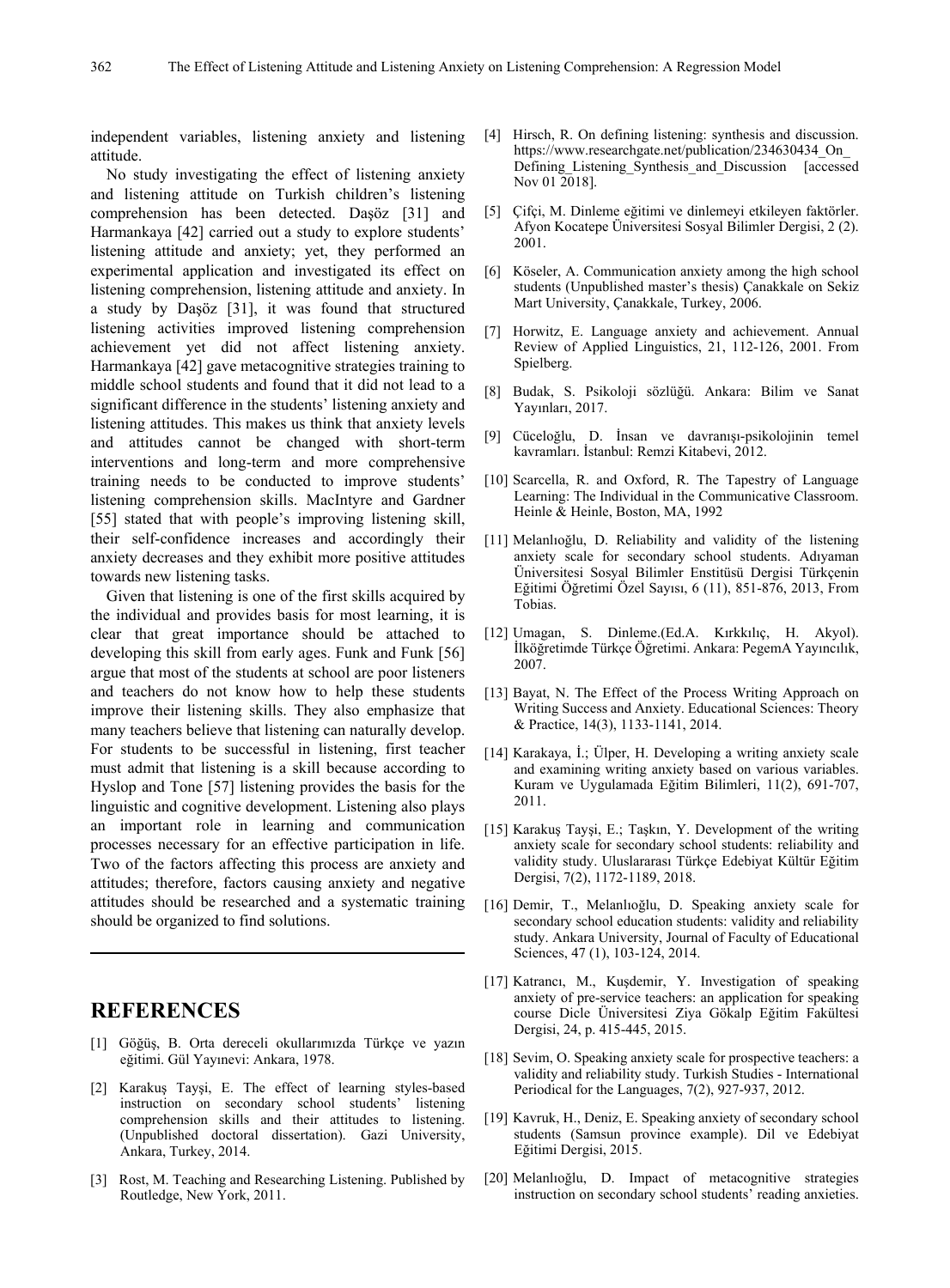independent variables, listening anxiety and listening attitude.

No study investigating the effect of listening anxiety and listening attitude on Turkish children's listening comprehension has been detected. Daşöz [31] and Harmankaya [42] carried out a study to explore students' listening attitude and anxiety; yet, they performed an experimental application and investigated its effect on listening comprehension, listening attitude and anxiety. In a study by Daşöz [31], it was found that structured listening activities improved listening comprehension achievement yet did not affect listening anxiety. Harmankaya [42] gave metacognitive strategies training to middle school students and found that it did not lead to a significant difference in the students' listening anxiety and listening attitudes. This makes us think that anxiety levels and attitudes cannot be changed with short-term interventions and long-term and more comprehensive training needs to be conducted to improve students' listening comprehension skills. MacIntyre and Gardner [55] stated that with people's improving listening skill, their self-confidence increases and accordingly their anxiety decreases and they exhibit more positive attitudes towards new listening tasks.

Given that listening is one of the first skills acquired by the individual and provides basis for most learning, it is clear that great importance should be attached to developing this skill from early ages. Funk and Funk [56] argue that most of the students at school are poor listeners and teachers do not know how to help these students improve their listening skills. They also emphasize that many teachers believe that listening can naturally develop. For students to be successful in listening, first teacher must admit that listening is a skill because according to Hyslop and Tone [57] listening provides the basis for the linguistic and cognitive development. Listening also plays an important role in learning and communication processes necessary for an effective participation in life. Two of the factors affecting this process are anxiety and attitudes; therefore, factors causing anxiety and negative attitudes should be researched and a systematic training should be organized to find solutions.

## **REFERENCES**

- [1] Göğüş, B. Orta dereceli okullarımızda Türkçe ve yazın eğitimi. Gül Yayınevi: Ankara, 1978.
- [2] Karakuş Tayşi, E. The effect of learning styles-based instruction on secondary school students' listening comprehension skills and their attitudes to listening. (Unpublished doctoral dissertation). Gazi University, Ankara, Turkey, 2014.
- [3] Rost, M. Teaching and Researching Listening. Published by Routledge, New York, 2011.
- [4] Hirsch, R. On defining listening: synthesis and discussion. https://www.researchgate.net/publication/234630434\_On\_ Defining Listening Synthesis and Discussion [accessed] Nov 01 2018].
- [5] Çifçi, M. Dinleme eğitimi ve dinlemeyi etkileyen faktörler. Afyon Kocatepe Üniversitesi Sosyal Bilimler Dergisi, 2 (2). 2001.
- [6] Köseler, A. Communication anxiety among the high school students (Unpublished master's thesis) Çanakkale on Sekiz Mart University, Çanakkale, Turkey, 2006.
- [7] Horwitz, E. Language anxiety and achievement. Annual Review of Applied Linguistics, 21, 112-126, 2001. From Spielberg.
- [8] Budak, S. Psikoloji sözlüğü. Ankara: Bilim ve Sanat Yayınları, 2017.
- [9] Cüceloğlu, D. İnsan ve davranışı-psikolojinin temel kavramları. İstanbul: Remzi Kitabevi, 2012.
- [10] Scarcella, R. and Oxford, R. The Tapestry of Language Learning: The Individual in the Communicative Classroom. Heinle & Heinle, Boston, MA, 1992
- [11] Melanlıoğlu, D. Reliability and validity of the listening anxiety scale for secondary school students. Adıyaman Üniversitesi Sosyal Bilimler Enstitüsü Dergisi Türkçenin Eğitimi Öğretimi Özel Sayısı, 6 (11), 851-876, 2013, From Tobias.
- [12] Umagan, S. Dinleme.(Ed.A. Kırkkılıç, H. Akyol). İlköğretimde Türkçe Öğretimi. Ankara: PegemA Yayıncılık, 2007.
- [13] Bayat, N. The Effect of the Process Writing Approach on Writing Success and Anxiety. Educational Sciences: Theory & Practice, 14(3), 1133-1141, 2014.
- [14] Karakaya, İ.; Ülper, H. Developing a writing anxiety scale and examining writing anxiety based on various variables. Kuram ve Uygulamada Eğitim Bilimleri, 11(2), 691-707, 2011.
- [15] Karakuş Tayşi, E.; Taşkın, Y. Development of the writing anxiety scale for secondary school students: reliability and validity study. Uluslararası Türkçe Edebiyat Kültür Eğitim Dergisi, 7(2), 1172-1189, 2018.
- [16] Demir, T., Melanlıoğlu, D. Speaking anxiety scale for secondary school education students: validity and reliability study. Ankara University, Journal of Faculty of Educational Sciences, 47 (1), 103-124, 2014.
- [17] Katrancı, M., Kuşdemir, Y. Investigation of speaking anxiety of pre-service teachers: an application for speaking course Dicle Üniversitesi Ziya Gökalp Eğitim Fakültesi Dergisi, 24, p. 415-445, 2015.
- [18] Sevim, O. Speaking anxiety scale for prospective teachers: a validity and reliability study. Turkish Studies - International Periodical for the Languages, 7(2), 927-937, 2012.
- [19] Kavruk, H., Deniz, E. Speaking anxiety of secondary school students (Samsun province example). Dil ve Edebiyat Eğitimi Dergisi, 2015.
- [20] Melanlıoğlu, D. Impact of metacognitive strategies instruction on secondary school students' reading anxieties.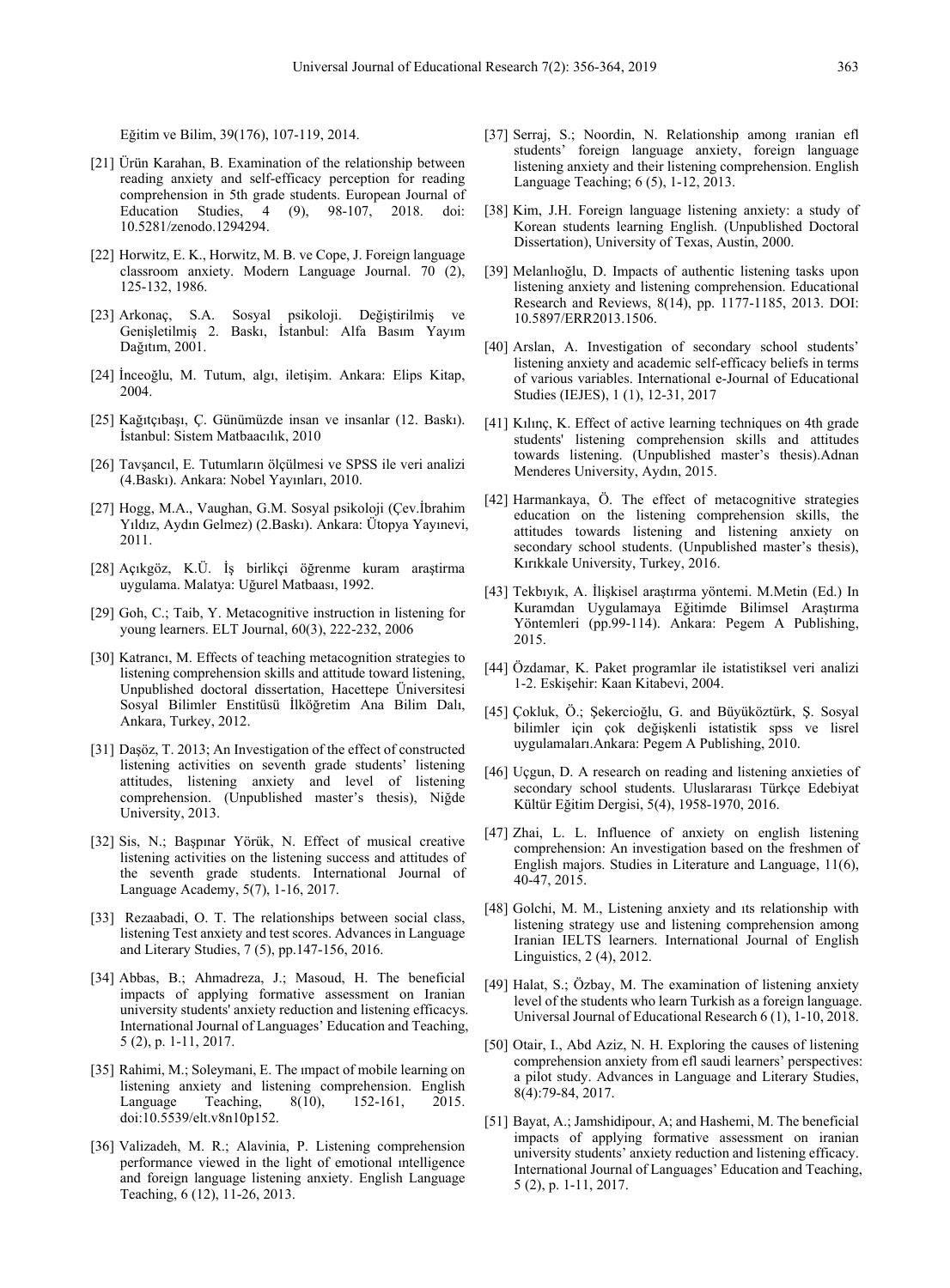Eğitim ve Bilim, 39(176), 107-119, 2014.

- [21] Ürün Karahan, B. Examination of the relationship between reading anxiety and self-efficacy perception for reading comprehension in 5th grade students. European Journal of Education Studies. 4 (9). 98-107. 2018. doi: Education Studies,  $4$  (9), 98-107, 2018. 10.5281/zenodo.1294294.
- [22] Horwitz, E. K., Horwitz, M. B. ve Cope, J. Foreign language classroom anxiety. Modern Language Journal. 70 (2), 125-132, 1986.
- [23] Arkonaç, S.A. Sosyal psikoloji. Değiştirilmiş ve Genişletilmiş 2. Baskı, İstanbul: Alfa Basım Yayım Dağıtım, 2001.
- [24] İnceoğlu, M. Tutum, algı, iletişim. Ankara: Elips Kitap, 2004.
- [25] Kağıtçıbaşı, Ç. Günümüzde insan ve insanlar (12. Baskı). İstanbul: Sistem Matbaacılık, 2010
- [26] Tavşancıl, E. Tutumların ölçülmesi ve SPSS ile veri analizi (4.Baskı). Ankara: Nobel Yayınları, 2010.
- [27] Hogg, M.A., Vaughan, G.M. Sosyal psikoloji (Çev.İbrahim Yıldız, Aydın Gelmez) (2.Baskı). Ankara: Ütopya Yayınevi, 2011.
- [28] Açıkgöz, K.Ü. İş birlikçi öğrenme kuram araştirma uygulama. Malatya: Uğurel Matbaası, 1992.
- [29] Goh, C.; Taib, Y. Metacognitive instruction in listening for young learners. ELT Journal, 60(3), 222-232, 2006
- [30] Katrancı, M. Effects of teaching metacognition strategies to listening comprehension skills and attitude toward listening, Unpublished doctoral dissertation, Hacettepe Üniversitesi Sosyal Bilimler Enstitüsü İlköğretim Ana Bilim Dalı, Ankara, Turkey, 2012.
- [31] Daşöz, T. 2013; An Investigation of the effect of constructed listening activities on seventh grade students' listening attitudes, listening anxiety and level of listening comprehension. (Unpublished master's thesis), Niğde University, 2013.
- [32] Sis, N.; Başpınar Yörük, N. Effect of musical creative listening activities on the listening success and attitudes of the seventh grade students. International Journal of Language Academy, 5(7), 1-16, 2017.
- [33] Rezaabadi, O. T. The relationships between social class, listening Test anxiety and test scores. Advances in Language and Literary Studies, 7 (5), pp.147-156, 2016.
- [34] Abbas, B.; Ahmadreza, J.; Masoud, H. The beneficial impacts of applying formative assessment on Iranian university students' anxiety reduction and listening efficacys. International Journal of Languages' Education and Teaching, 5 (2), p. 1-11, 2017.
- [35] Rahimi, M.; Soleymani, E. The impact of mobile learning on listening anxiety and listening comprehension. English Language Teaching, 8(10), 152-161, 2015. doi:10.5539/elt.v8n10p152.
- [36] Valizadeh, M. R.; Alavinia, P. Listening comprehension performance viewed in the light of emotional ıntelligence and foreign language listening anxiety. English Language Teaching, 6 (12), 11-26, 2013.
- [37] Serraj, S.; Noordin, N. Relationship among ıranian efl students' foreign language anxiety, foreign language listening anxiety and their listening comprehension. English Language Teaching; 6 (5), 1-12, 2013.
- [38] Kim, J.H. Foreign language listening anxiety: a study of Korean students learning English. (Unpublished Doctoral Dissertation), University of Texas, Austin, 2000.
- [39] Melanlıoğlu, D. Impacts of authentic listening tasks upon listening anxiety and listening comprehension. Educational Research and Reviews, 8(14), pp. 1177-1185, 2013. DOI: 10.5897/ERR2013.1506.
- [40] Arslan, A. Investigation of secondary school students' listening anxiety and academic self-efficacy beliefs in terms of various variables. International e-Journal of Educational Studies (IEJES), 1 (1), 12-31, 2017
- [41] Kılınç, K. Effect of active learning techniques on 4th grade students' listening comprehension skills and attitudes towards listening. (Unpublished master's thesis).Adnan Menderes University, Aydın, 2015.
- [42] Harmankaya, Ö. The effect of metacognitive strategies education on the listening comprehension skills, the attitudes towards listening and listening anxiety on secondary school students. (Unpublished master's thesis), Kırıkkale University, Turkey, 2016.
- [43] Tekbıyık, A. İlişkisel araştırma yöntemi. M.Metin (Ed.) In Kuramdan Uygulamaya Eğitimde Bilimsel Araştırma Yöntemleri (pp.99-114). Ankara: Pegem A Publishing, 2015.
- [44] Özdamar, K. Paket programlar ile istatistiksel veri analizi 1-2. Eskişehir: Kaan Kitabevi, 2004.
- [45] Çokluk, Ö.; Şekercioğlu, G. and Büyüköztürk, Ş. Sosyal bilimler için çok değişkenli istatistik spss ve lisrel uygulamaları.Ankara: Pegem A Publishing, 2010.
- [46] Uçgun, D. A research on reading and listening anxieties of secondary school students. Uluslararası Türkçe Edebiyat Kültür Eğitim Dergisi, 5(4), 1958-1970, 2016.
- [47] Zhai, L. L. Influence of anxiety on english listening comprehension: An investigation based on the freshmen of English majors. Studies in Literature and Language, 11(6), 40-47, 2015.
- [48] Golchi, M. M., Listening anxiety and ıts relationship with listening strategy use and listening comprehension among Iranian IELTS learners. International Journal of English Linguistics, 2 (4), 2012.
- [49] Halat, S.; Özbay, M. The examination of listening anxiety level of the students who learn Turkish as a foreign language. Universal Journal of Educational Research 6 (1), 1-10, 2018.
- [50] Otair, I., Abd Aziz, N. H. Exploring the causes of listening comprehension anxiety from efl saudi learners' perspectives: a pilot study. Advances in Language and Literary Studies, 8(4):79-84, 2017.
- [51] Bayat, A.; Jamshidipour, A; and Hashemi, M. The beneficial impacts of applying formative assessment on iranian university students' anxiety reduction and listening efficacy. International Journal of Languages' Education and Teaching, 5 (2), p. 1-11, 2017.